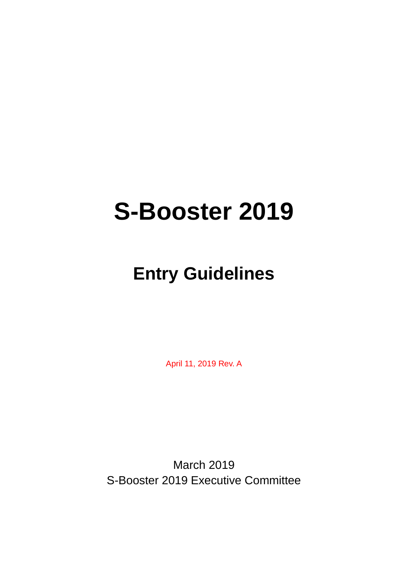# **S-Booster 2019**

## **Entry Guidelines**

April 11, 2019 Rev. A

March 2019 S-Booster 2019 Executive Committee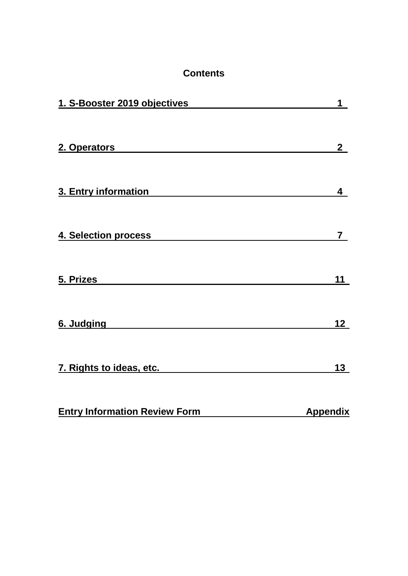| <b>Contents</b>                                                                                                                                                                                                                |                 |
|--------------------------------------------------------------------------------------------------------------------------------------------------------------------------------------------------------------------------------|-----------------|
| 1. S-Booster 2019 objectives                                                                                                                                                                                                   | 1               |
| 2. Operators 2. Express 2. Operators 2. The contract of the contract of the contract of the contract of the contract of the contract of the contract of the contract of the contract of the contract of the contract of the co | 2 <sup>1</sup>  |
| 3. Entry information <b>Example 2. 1999</b>                                                                                                                                                                                    | 4               |
| 4. Selection process                                                                                                                                                                                                           | 7 <sup>7</sup>  |
| 5. Prizes<br><u> 1989 - John Stein, mars and de Brazilian (b. 1989)</u>                                                                                                                                                        | 11              |
| 6. Judging                                                                                                                                                                                                                     | 12              |
| 7. Rights to ideas, etc.                                                                                                                                                                                                       | 13              |
| <b>Entry Information Review Form</b>                                                                                                                                                                                           | <b>Appendix</b> |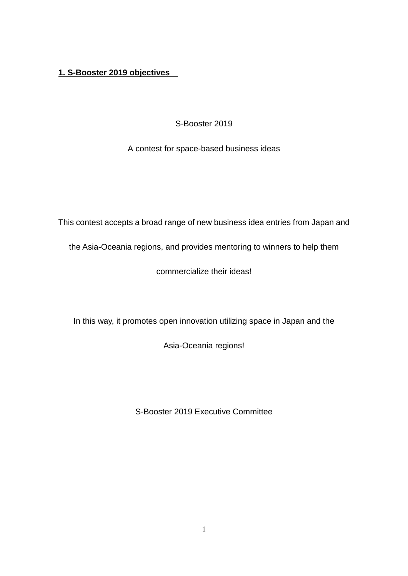#### **1. S-Booster 2019 objectives**

S-Booster 2019

A contest for space-based business ideas

This contest accepts a broad range of new business idea entries from Japan and

the Asia-Oceania regions, and provides mentoring to winners to help them

commercialize their ideas!

In this way, it promotes open innovation utilizing space in Japan and the

Asia-Oceania regions!

S-Booster 2019 Executive Committee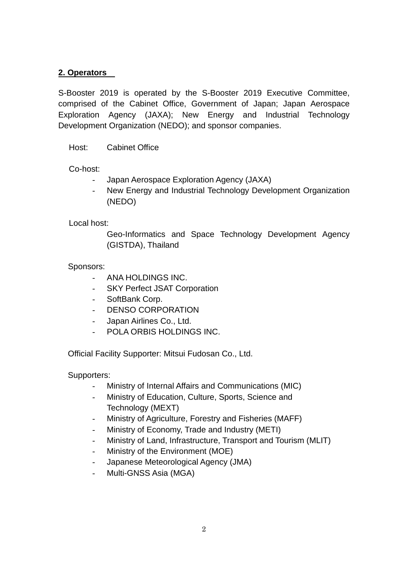#### **2. Operators**

S-Booster 2019 is operated by the S-Booster 2019 Executive Committee, comprised of the Cabinet Office, Government of Japan; Japan Aerospace Exploration Agency (JAXA); New Energy and Industrial Technology Development Organization (NEDO); and sponsor companies.

Host: Cabinet Office

Co-host:

- Japan Aerospace Exploration Agency (JAXA)
- New Energy and Industrial Technology Development Organization (NEDO)

#### Local host:

Geo-Informatics and Space Technology Development Agency (GISTDA), Thailand

#### Sponsors:

- ANA HOLDINGS INC.
- SKY Perfect JSAT Corporation
- SoftBank Corp.
- DENSO CORPORATION
- Japan Airlines Co., Ltd.
- POLA ORBIS HOLDINGS INC.

Official Facility Supporter: Mitsui Fudosan Co., Ltd.

#### Supporters:

- Ministry of Internal Affairs and Communications (MIC)
- Ministry of Education, Culture, Sports, Science and Technology (MEXT)
- Ministry of Agriculture, Forestry and Fisheries (MAFF)
- Ministry of Economy, Trade and Industry (METI)
- Ministry of Land, Infrastructure, Transport and Tourism (MLIT)
- Ministry of the Environment (MOE)
- Japanese Meteorological Agency (JMA)
- Multi-GNSS Asia (MGA)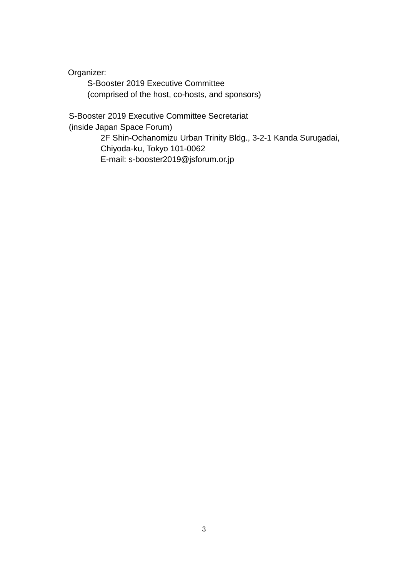Organizer:

S-Booster 2019 Executive Committee (comprised of the host, co-hosts, and sponsors)

S-Booster 2019 Executive Committee Secretariat (inside Japan Space Forum) 2F Shin-Ochanomizu Urban Trinity Bldg., 3-2-1 Kanda Surugadai, Chiyoda-ku, Tokyo 101-0062 E-mail: s-booster2019@jsforum.or.jp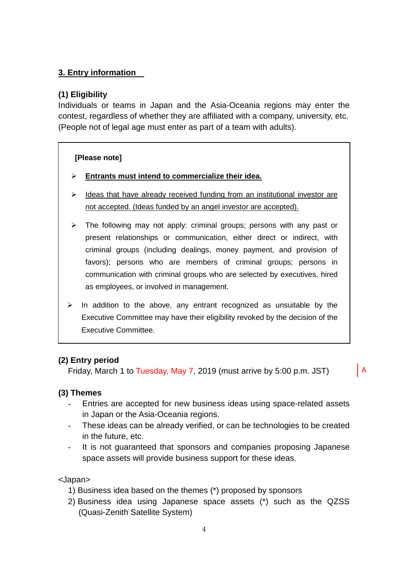#### **3. Entry information**

#### **(1) Eligibility**

Individuals or teams in Japan and the Asia-Oceania regions may enter the contest, regardless of whether they are affiliated with a company, university, etc. (People not of legal age must enter as part of a team with adults).

#### **[Please note]**

- **Entrants must intend to commercialize their idea.**
- $\triangleright$  Ideas that have already received funding from an institutional investor are not accepted. (Ideas funded by an angel investor are accepted).
- $\triangleright$  The following may not apply: criminal groups; persons with any past or present relationships or communication, either direct or indirect, with criminal groups (including dealings, money payment, and provision of favors); persons who are members of criminal groups; persons in communication with criminal groups who are selected by executives, hired as employees, or involved in management.
- $\triangleright$  In addition to the above, any entrant recognized as unsuitable by the Executive Committee may have their eligibility revoked by the decision of the Executive Committee.

#### **(2) Entry period**

Friday, March 1 to Tuesday, May 7, 2019 (must arrive by 5:00 p.m. JST)

A

#### **(3) Themes**

- Entries are accepted for new business ideas using space-related assets in Japan or the Asia-Oceania regions.
- These ideas can be already verified, or can be technologies to be created in the future, etc.
- It is not guaranteed that sponsors and companies proposing Japanese space assets will provide business support for these ideas.

<Japan>

- 1) Business idea based on the themes (\*) proposed by sponsors
- 2) Business idea using Japanese space assets (\*) such as the QZSS (Quasi-Zenith Satellite System)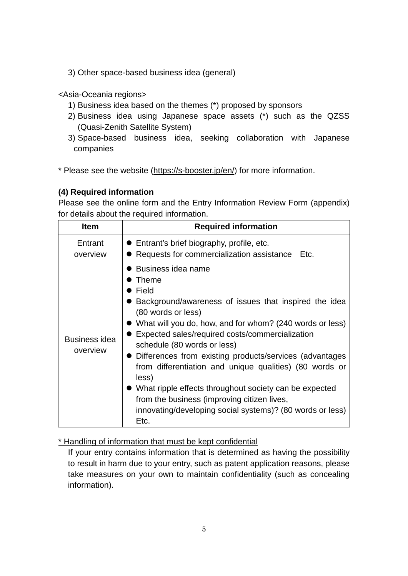3) Other space-based business idea (general)

<Asia-Oceania regions>

- 1) Business idea based on the themes (\*) proposed by sponsors
- 2) Business idea using Japanese space assets (\*) such as the QZSS (Quasi-Zenith Satellite System)
- 3) Space-based business idea, seeking collaboration with Japanese companies
- \* Please see the website [\(https://s-booster.jp/](https://s-booster.jp/)en/) for more information.

#### **(4) Required information**

Please see the online form and the Entry Information Review Form (appendix) for details about the required information.

| <b>Item</b>               | <b>Required information</b>                                                                                                                                                                                                                                                                                                                                                                                                                                                                                                                                                            |
|---------------------------|----------------------------------------------------------------------------------------------------------------------------------------------------------------------------------------------------------------------------------------------------------------------------------------------------------------------------------------------------------------------------------------------------------------------------------------------------------------------------------------------------------------------------------------------------------------------------------------|
| Entrant<br>overview       | • Entrant's brief biography, profile, etc.<br>■ Requests for commercialization assistance Etc.                                                                                                                                                                                                                                                                                                                                                                                                                                                                                         |
| Business idea<br>overview | ● Business idea name<br>Theme<br>Field<br>Background/awareness of issues that inspired the idea<br>(80 words or less)<br>• What will you do, how, and for whom? (240 words or less)<br>Expected sales/required costs/commercialization<br>schedule (80 words or less)<br>• Differences from existing products/services (advantages<br>from differentiation and unique qualities) (80 words or<br>less)<br>• What ripple effects throughout society can be expected<br>from the business (improving citizen lives,<br>innovating/developing social systems)? (80 words or less)<br>Etc. |

#### \* Handling of information that must be kept confidential

If your entry contains information that is determined as having the possibility to result in harm due to your entry, such as patent application reasons, please take measures on your own to maintain confidentiality (such as concealing information).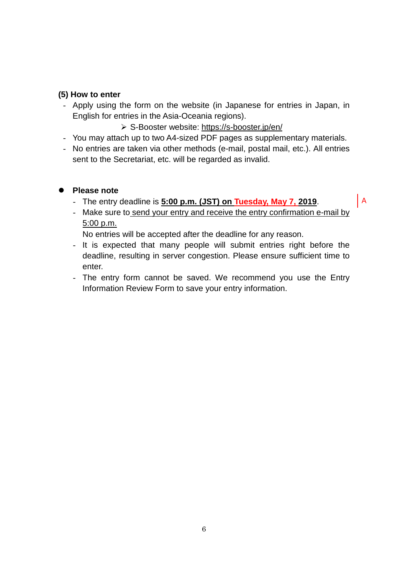#### **(5) How to enter**

- Apply using the form on the website (in Japanese for entries in Japan, in English for entries in the Asia-Oceania regions).

#### S-Booster website: [https://s-booster.jp/e](https://s-booster.jp/)n/

- You may attach up to two A4-sized PDF pages as supplementary materials.
- No entries are taken via other methods (e-mail, postal mail, etc.). All entries sent to the Secretariat, etc. will be regarded as invalid.

#### **Please note**

- The entry deadline is **5:00 p.m. (JST) on Tuesday, May 7, 2019**.
- Make sure to send your entry and receive the entry confirmation e-mail by 5:00 p.m.

A

No entries will be accepted after the deadline for any reason.

- It is expected that many people will submit entries right before the deadline, resulting in server congestion. Please ensure sufficient time to enter.
- The entry form cannot be saved. We recommend you use the Entry Information Review Form to save your entry information.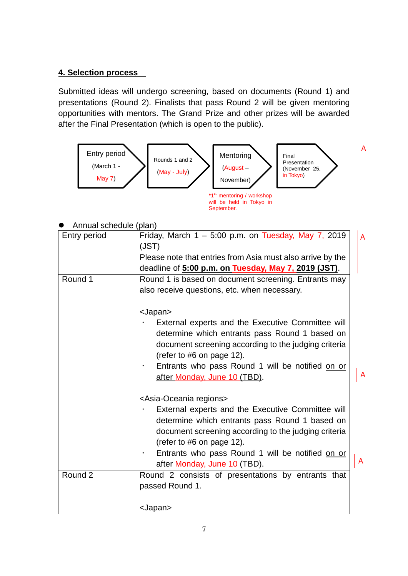#### **4. Selection process**

Submitted ideas will undergo screening, based on documents (Round 1) and presentations (Round 2). Finalists that pass Round 2 will be given mentoring opportunities with mentors. The Grand Prize and other prizes will be awarded after the Final Presentation (which is open to the public).

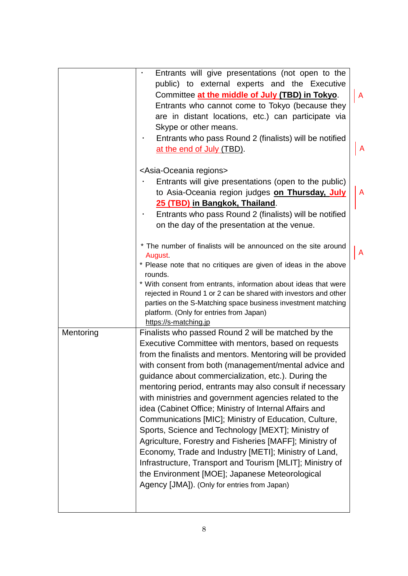|           | Entrants will give presentations (not open to the<br>$\bullet$<br>public) to external experts and the Executive<br>Committee at the middle of July (TBD) in Tokyo.<br>Entrants who cannot come to Tokyo (because they<br>are in distant locations, etc.) can participate via<br>Skype or other means.<br>Entrants who pass Round 2 (finalists) will be notified<br>at the end of July (TBD).                                                                                                                                                                                                                                                                                                                                                                                                                                                                              | A<br>A |
|-----------|---------------------------------------------------------------------------------------------------------------------------------------------------------------------------------------------------------------------------------------------------------------------------------------------------------------------------------------------------------------------------------------------------------------------------------------------------------------------------------------------------------------------------------------------------------------------------------------------------------------------------------------------------------------------------------------------------------------------------------------------------------------------------------------------------------------------------------------------------------------------------|--------|
|           | <asia-oceania regions=""><br/>Entrants will give presentations (open to the public)<br/>to Asia-Oceania region judges on Thursday, July<br/>25 (TBD) in Bangkok, Thailand.<br/>Entrants who pass Round 2 (finalists) will be notified<br/>on the day of the presentation at the venue.</asia-oceania>                                                                                                                                                                                                                                                                                                                                                                                                                                                                                                                                                                     | A      |
|           | * The number of finalists will be announced on the site around<br><b>August</b><br>* Please note that no critiques are given of ideas in the above<br>rounds.<br>* With consent from entrants, information about ideas that were<br>rejected in Round 1 or 2 can be shared with investors and other<br>parties on the S-Matching space business investment matching<br>platform. (Only for entries from Japan)<br>https://s-matching.jp                                                                                                                                                                                                                                                                                                                                                                                                                                   |        |
| Mentoring | Finalists who passed Round 2 will be matched by the<br>Executive Committee with mentors, based on requests<br>from the finalists and mentors. Mentoring will be provided<br>with consent from both (management/mental advice and<br>guidance about commercialization, etc.). During the<br>mentoring period, entrants may also consult if necessary<br>with ministries and government agencies related to the<br>idea (Cabinet Office; Ministry of Internal Affairs and<br>Communications [MIC]; Ministry of Education, Culture,<br>Sports, Science and Technology [MEXT]; Ministry of<br>Agriculture, Forestry and Fisheries [MAFF]; Ministry of<br>Economy, Trade and Industry [METI]; Ministry of Land,<br>Infrastructure, Transport and Tourism [MLIT]; Ministry of<br>the Environment [MOE]; Japanese Meteorological<br>Agency [JMA]). (Only for entries from Japan) |        |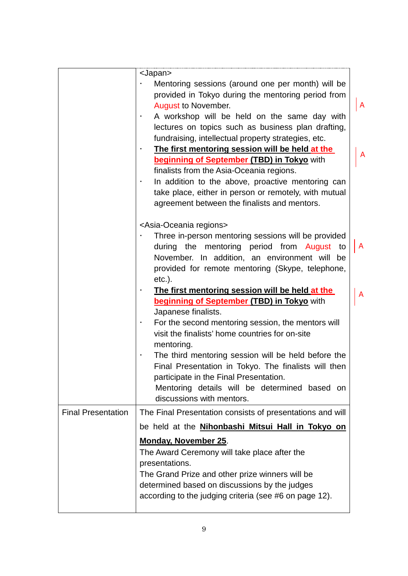|                           | <japan><br/>Mentoring sessions (around one per month) will be<br/>provided in Tokyo during the mentoring period from<br/><b>August to November.</b><br/>A workshop will be held on the same day with<br/>lectures on topics such as business plan drafting,<br/>fundraising, intellectual property strategies, etc.<br/>The first mentoring session will be held at the<br/>beginning of September (TBD) in Tokyo with<br/>finalists from the Asia-Oceania regions.<br/>In addition to the above, proactive mentoring can<br/>take place, either in person or remotely, with mutual<br/>agreement between the finalists and mentors.</japan> | $\mathsf{A}$<br>A |
|---------------------------|----------------------------------------------------------------------------------------------------------------------------------------------------------------------------------------------------------------------------------------------------------------------------------------------------------------------------------------------------------------------------------------------------------------------------------------------------------------------------------------------------------------------------------------------------------------------------------------------------------------------------------------------|-------------------|
|                           | <asia-oceania regions=""><br/>Three in-person mentoring sessions will be provided<br/>during the mentoring period from August to<br/>November. In addition, an environment will<br/>be<br/>provided for remote mentoring (Skype, telephone,<br/><math>etc.</math>).</asia-oceania>                                                                                                                                                                                                                                                                                                                                                           | A                 |
|                           | The first mentoring session will be held at the<br><b>beginning of September (TBD) in Tokyo with</b><br>Japanese finalists.<br>For the second mentoring session, the mentors will<br>visit the finalists' home countries for on-site<br>mentoring.<br>The third mentoring session will be held before the<br>Final Presentation in Tokyo. The finalists will then<br>participate in the Final Presentation.<br>Mentoring details will be determined based on<br>discussions with mentors.                                                                                                                                                    | A                 |
| <b>Final Presentation</b> | The Final Presentation consists of presentations and will<br>be held at the <b>Nihonbashi Mitsui Hall in Tokyo on</b><br><b>Monday, November 25.</b><br>The Award Ceremony will take place after the<br>presentations.<br>The Grand Prize and other prize winners will be<br>determined based on discussions by the judges<br>according to the judging criteria (see #6 on page 12).                                                                                                                                                                                                                                                         |                   |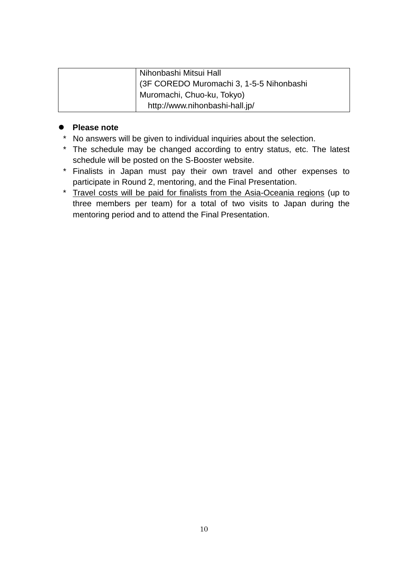| Nihonbashi Mitsui Hall                    |
|-------------------------------------------|
| (3F COREDO Muromachi 3, 1-5-5 Nihonbashi) |
| Muromachi, Chuo-ku, Tokyo)                |
| http://www.nihonbashi-hall.jp/            |

#### **Please note**

- \* No answers will be given to individual inquiries about the selection.
- \* The schedule may be changed according to entry status, etc. The latest schedule will be posted on the S-Booster website.
- \* Finalists in Japan must pay their own travel and other expenses to participate in Round 2, mentoring, and the Final Presentation.
- \* Travel costs will be paid for finalists from the Asia-Oceania regions (up to three members per team) for a total of two visits to Japan during the mentoring period and to attend the Final Presentation.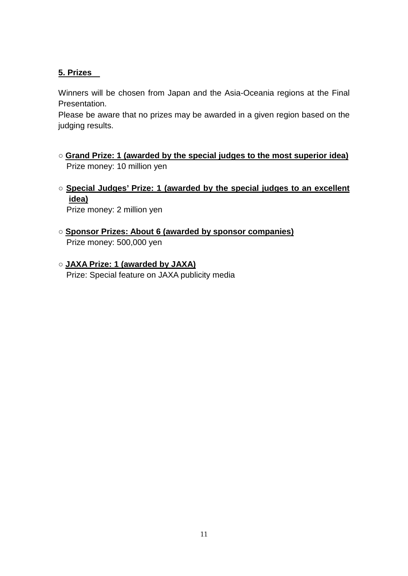#### **5. Prizes**

Winners will be chosen from Japan and the Asia-Oceania regions at the Final Presentation.

Please be aware that no prizes may be awarded in a given region based on the judging results.

- **Grand Prize: 1 (awarded by the special judges to the most superior idea)** Prize money: 10 million yen
- **Special Judges' Prize: 1 (awarded by the special judges to an excellent idea)**

Prize money: 2 million yen

- **Sponsor Prizes: About 6 (awarded by sponsor companies)** Prize money: 500,000 yen
- **JAXA Prize: 1 (awarded by JAXA)** Prize: Special feature on JAXA publicity media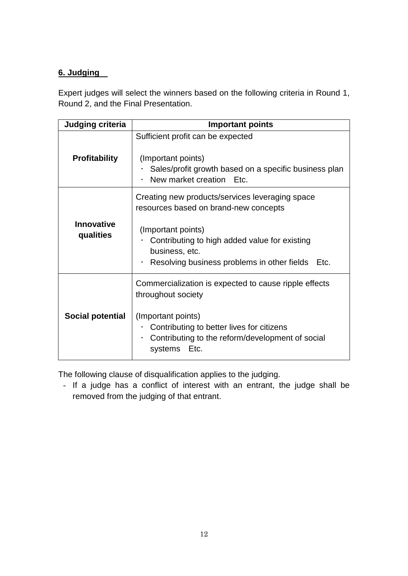#### **6. Judging**

Expert judges will select the winners based on the following criteria in Round 1, Round 2, and the Final Presentation.

| <b>Judging criteria</b>        | <b>Important points</b>                                                                                                                                                                                                                  |  |
|--------------------------------|------------------------------------------------------------------------------------------------------------------------------------------------------------------------------------------------------------------------------------------|--|
| <b>Profitability</b>           | Sufficient profit can be expected<br>(Important points)<br>Sales/profit growth based on a specific business plan<br>New market creation Etc.                                                                                             |  |
| <b>Innovative</b><br>qualities | Creating new products/services leveraging space<br>resources based on brand-new concepts<br>(Important points)<br>Contributing to high added value for existing<br>business, etc.<br>Resolving business problems in other fields<br>Etc. |  |
| Social potential               | Commercialization is expected to cause ripple effects<br>throughout society<br>(Important points)<br>Contributing to better lives for citizens<br>Contributing to the reform/development of social<br>$\bullet$<br>systems<br>Etc.       |  |

The following clause of disqualification applies to the judging.

- If a judge has a conflict of interest with an entrant, the judge shall be removed from the judging of that entrant.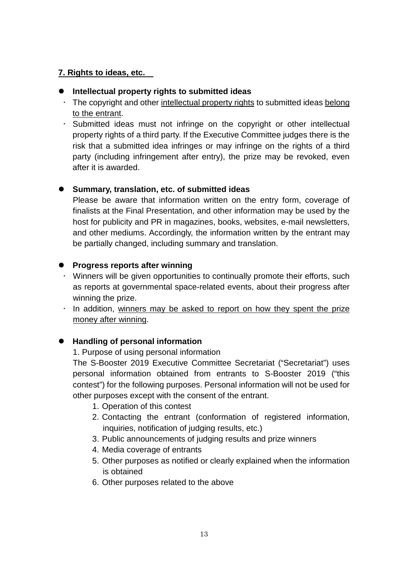#### **7. Rights to ideas, etc.**

#### **Intellectual property rights to submitted ideas**

- $\cdot$  The copyright and other intellectual property rights to submitted ideas belong to the entrant.
- $\cdot$  Submitted ideas must not infringe on the copyright or other intellectual property rights of a third party. If the Executive Committee judges there is the risk that a submitted idea infringes or may infringe on the rights of a third party (including infringement after entry), the prize may be revoked, even after it is awarded.

#### **Summary, translation, etc. of submitted ideas**

Please be aware that information written on the entry form, coverage of finalists at the Final Presentation, and other information may be used by the host for publicity and PR in magazines, books, websites, e-mail newsletters, and other mediums. Accordingly, the information written by the entrant may be partially changed, including summary and translation.

#### **Progress reports after winning**

- Winners will be given opportunities to continually promote their efforts, such as reports at governmental space-related events, about their progress after winning the prize.
- $\cdot$  In addition, winners may be asked to report on how they spent the prize money after winning.

#### **Handling of personal information**

#### 1. Purpose of using personal information

The S-Booster 2019 Executive Committee Secretariat ("Secretariat") uses personal information obtained from entrants to S-Booster 2019 ("this contest") for the following purposes. Personal information will not be used for other purposes except with the consent of the entrant.

- 1. Operation of this contest
- 2. Contacting the entrant (conformation of registered information, inquiries, notification of judging results, etc.)
- 3. Public announcements of judging results and prize winners
- 4. Media coverage of entrants
- 5. Other purposes as notified or clearly explained when the information is obtained
- 6. Other purposes related to the above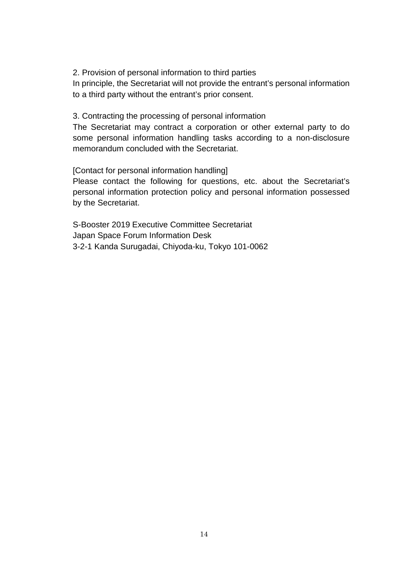2. Provision of personal information to third parties

In principle, the Secretariat will not provide the entrant's personal information to a third party without the entrant's prior consent.

3. Contracting the processing of personal information

The Secretariat may contract a corporation or other external party to do some personal information handling tasks according to a non-disclosure memorandum concluded with the Secretariat.

[Contact for personal information handling]

Please contact the following for questions, etc. about the Secretariat's personal information protection policy and personal information possessed by the Secretariat.

S-Booster 2019 Executive Committee Secretariat Japan Space Forum Information Desk 3-2-1 Kanda Surugadai, Chiyoda-ku, Tokyo 101-0062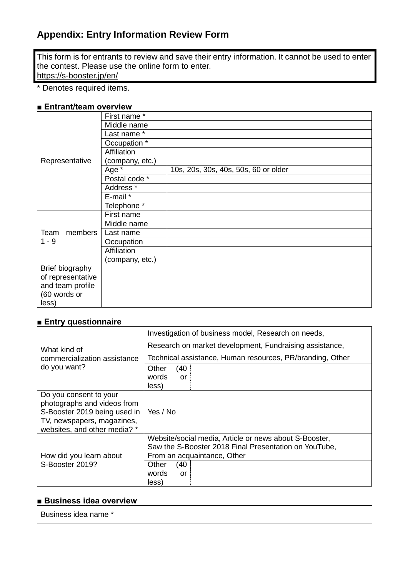#### **Appendix: Entry Information Review Form**

This form is for entrants to review and save their entry information. It cannot be used to enter the contest. Please use the online form to enter. <https://s-booster.jp/>en/

\* Denotes required items.

#### **■ Entrant/team overview**

|                            | First name *         |                                      |
|----------------------------|----------------------|--------------------------------------|
|                            | Middle name          |                                      |
|                            | Last name *          |                                      |
|                            | Occupation *         |                                      |
|                            | Affiliation          |                                      |
| Representative             | (company, etc.)      |                                      |
|                            | Age *                | 10s, 20s, 30s, 40s, 50s, 60 or older |
|                            | Postal code *        |                                      |
|                            | Address <sup>*</sup> |                                      |
|                            | E-mail *             |                                      |
|                            | Telephone *          |                                      |
|                            | First name           |                                      |
| members<br>Team<br>$1 - 9$ | Middle name          |                                      |
|                            | Last name            |                                      |
|                            | Occupation           |                                      |
|                            | Affiliation          |                                      |
|                            | (company, etc.)      |                                      |
| Brief biography            |                      |                                      |
| of representative          |                      |                                      |
| and team profile           |                      |                                      |
| (60 words or               |                      |                                      |
| less)                      |                      |                                      |

#### **■ Entry questionnaire**

| What kind of<br>commercialization assistance<br>do you want?                                                                                        | Investigation of business model, Research on needs,                                                                                            |
|-----------------------------------------------------------------------------------------------------------------------------------------------------|------------------------------------------------------------------------------------------------------------------------------------------------|
|                                                                                                                                                     | Research on market development, Fundraising assistance,                                                                                        |
|                                                                                                                                                     | Technical assistance, Human resources, PR/branding, Other                                                                                      |
|                                                                                                                                                     | (40)<br>Other<br>words<br>or<br>less)                                                                                                          |
| Do you consent to your<br>photographs and videos from<br>S-Booster 2019 being used in<br>TV, newspapers, magazines,<br>websites, and other media? * | Yes / No                                                                                                                                       |
| How did you learn about                                                                                                                             | Website/social media, Article or news about S-Booster,<br>Saw the S-Booster 2018 Final Presentation on YouTube,<br>From an acquaintance, Other |
| S-Booster 2019?                                                                                                                                     | (40)<br>Other<br>words<br>or<br>less)                                                                                                          |

#### **■ Business idea overview**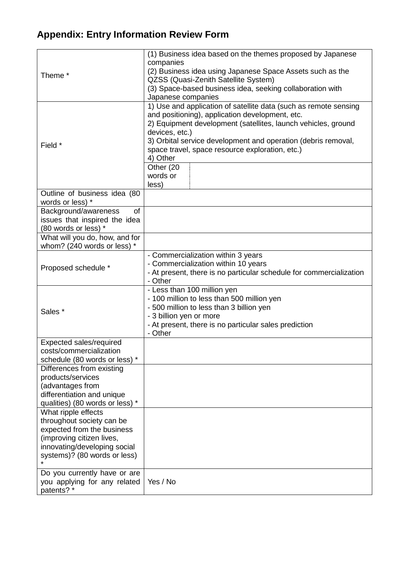### **Appendix: Entry Information Review Form**

| Theme <sup>*</sup>                                                                                                                                                                                                                                                                                                                                  | (1) Business idea based on the themes proposed by Japanese<br>companies<br>(2) Business idea using Japanese Space Assets such as the<br>QZSS (Quasi-Zenith Satellite System)<br>(3) Space-based business idea, seeking collaboration with<br>Japanese companies                                                                                                          |
|-----------------------------------------------------------------------------------------------------------------------------------------------------------------------------------------------------------------------------------------------------------------------------------------------------------------------------------------------------|--------------------------------------------------------------------------------------------------------------------------------------------------------------------------------------------------------------------------------------------------------------------------------------------------------------------------------------------------------------------------|
| Field *                                                                                                                                                                                                                                                                                                                                             | 1) Use and application of satellite data (such as remote sensing<br>and positioning), application development, etc.<br>2) Equipment development (satellites, launch vehicles, ground<br>devices, etc.)<br>3) Orbital service development and operation (debris removal,<br>space travel, space resource exploration, etc.)<br>4) Other<br>Other (20<br>words or<br>less) |
| Outline of business idea (80                                                                                                                                                                                                                                                                                                                        |                                                                                                                                                                                                                                                                                                                                                                          |
| words or less) *                                                                                                                                                                                                                                                                                                                                    |                                                                                                                                                                                                                                                                                                                                                                          |
| Background/awareness<br>of<br>issues that inspired the idea<br>(80 words or less) *                                                                                                                                                                                                                                                                 |                                                                                                                                                                                                                                                                                                                                                                          |
| What will you do, how, and for<br>whom? (240 words or less) *                                                                                                                                                                                                                                                                                       |                                                                                                                                                                                                                                                                                                                                                                          |
| Proposed schedule *                                                                                                                                                                                                                                                                                                                                 | - Commercialization within 3 years<br>- Commercialization within 10 years<br>- At present, there is no particular schedule for commercialization<br>- Other                                                                                                                                                                                                              |
| Sales *                                                                                                                                                                                                                                                                                                                                             | - Less than 100 million yen<br>- 100 million to less than 500 million yen<br>- 500 million to less than 3 billion yen<br>- 3 billion yen or more<br>- At present, there is no particular sales prediction<br>- Other                                                                                                                                                     |
| Expected sales/required<br>costs/commercialization                                                                                                                                                                                                                                                                                                  |                                                                                                                                                                                                                                                                                                                                                                          |
| schedule (80 words or less) *<br>Differences from existing<br>products/services<br>(advantages from<br>differentiation and unique<br>qualities) (80 words or less) *<br>What ripple effects<br>throughout society can be<br>expected from the business<br>(improving citizen lives,<br>innovating/developing social<br>systems)? (80 words or less) |                                                                                                                                                                                                                                                                                                                                                                          |
| Do you currently have or are<br>you applying for any related<br>patents? *                                                                                                                                                                                                                                                                          | Yes / No                                                                                                                                                                                                                                                                                                                                                                 |